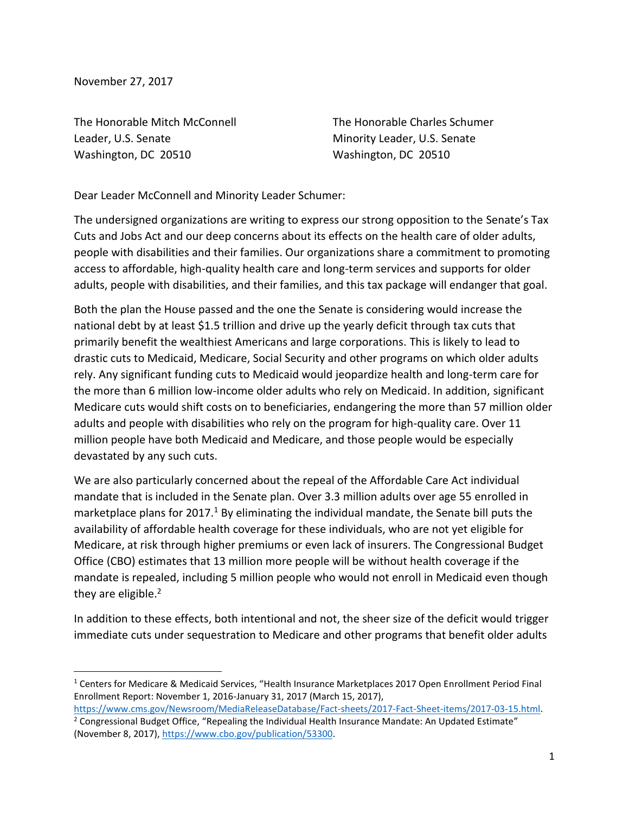November 27, 2017

l

The Honorable Mitch McConnell Leader, U.S. Senate Washington, DC 20510

The Honorable Charles Schumer Minority Leader, U.S. Senate Washington, DC 20510

Dear Leader McConnell and Minority Leader Schumer:

The undersigned organizations are writing to express our strong opposition to the Senate's Tax Cuts and Jobs Act and our deep concerns about its effects on the health care of older adults, people with disabilities and their families. Our organizations share a commitment to promoting access to affordable, high-quality health care and long-term services and supports for older adults, people with disabilities, and their families, and this tax package will endanger that goal.

Both the plan the House passed and the one the Senate is considering would increase the national debt by at least \$1.5 trillion and drive up the yearly deficit through tax cuts that primarily benefit the wealthiest Americans and large corporations. This is likely to lead to drastic cuts to Medicaid, Medicare, Social Security and other programs on which older adults rely. Any significant funding cuts to Medicaid would jeopardize health and long-term care for the more than 6 million low-income older adults who rely on Medicaid. In addition, significant Medicare cuts would shift costs on to beneficiaries, endangering the more than 57 million older adults and people with disabilities who rely on the program for high-quality care. Over 11 million people have both Medicaid and Medicare, and those people would be especially devastated by any such cuts.

We are also particularly concerned about the repeal of the Affordable Care Act individual mandate that is included in the Senate plan. Over 3.3 million adults over age 55 enrolled in marketplace plans for 2017.<sup>1</sup> By eliminating the individual mandate, the Senate bill puts the availability of affordable health coverage for these individuals, who are not yet eligible for Medicare, at risk through higher premiums or even lack of insurers. The Congressional Budget Office (CBO) estimates that 13 million more people will be without health coverage if the mandate is repealed, including 5 million people who would not enroll in Medicaid even though they are eligible.<sup>2</sup>

In addition to these effects, both intentional and not, the sheer size of the deficit would trigger immediate cuts under sequestration to Medicare and other programs that benefit older adults

<sup>1</sup> Centers for Medicare & Medicaid Services, "Health Insurance Marketplaces 2017 Open Enrollment Period Final Enrollment Report: November 1, 2016-January 31, 2017 (March 15, 2017),

[https://www.cms.gov/Newsroom/MediaReleaseDatabase/Fact-sheets/2017-Fact-Sheet-items/2017-03-15.html.](https://www.cms.gov/Newsroom/MediaReleaseDatabase/Fact-sheets/2017-Fact-Sheet-items/2017-03-15.html)   $2$  Congressional Budget Office, "Repealing the Individual Health Insurance Mandate: An Updated Estimate" (November 8, 2017), [https://www.cbo.gov/publication/53300.](https://www.cbo.gov/publication/53300)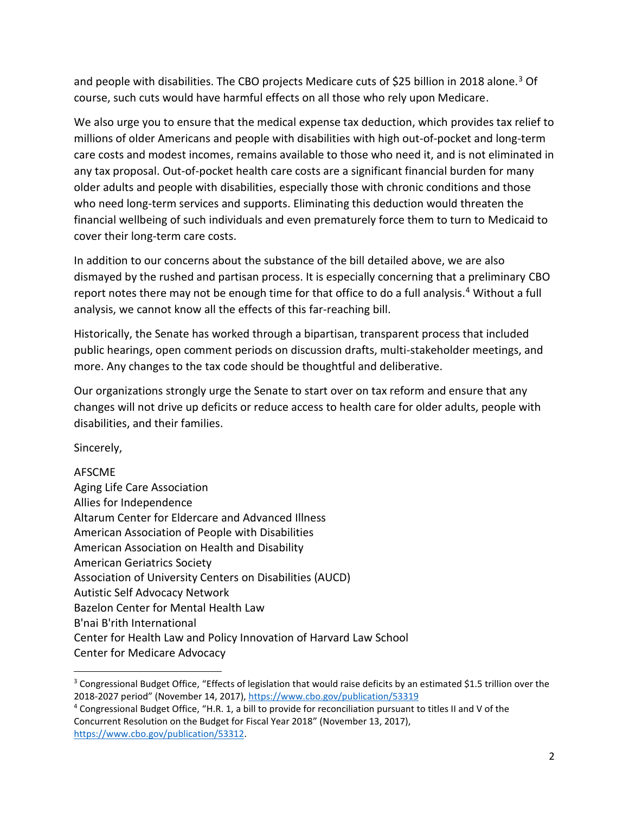and people with disabilities. The CBO projects Medicare cuts of \$25 billion in 2018 alone.<sup>3</sup> Of course, such cuts would have harmful effects on all those who rely upon Medicare.

We also urge you to ensure that the medical expense tax deduction, which provides tax relief to millions of older Americans and people with disabilities with high out-of-pocket and long-term care costs and modest incomes, remains available to those who need it, and is not eliminated in any tax proposal. Out-of-pocket health care costs are a significant financial burden for many older adults and people with disabilities, especially those with chronic conditions and those who need long-term services and supports. Eliminating this deduction would threaten the financial wellbeing of such individuals and even prematurely force them to turn to Medicaid to cover their long-term care costs.

In addition to our concerns about the substance of the bill detailed above, we are also dismayed by the rushed and partisan process. It is especially concerning that a preliminary CBO report notes there may not be enough time for that office to do a full analysis.<sup>4</sup> Without a full analysis, we cannot know all the effects of this far-reaching bill.

Historically, the Senate has worked through a bipartisan, transparent process that included public hearings, open comment periods on discussion drafts, multi-stakeholder meetings, and more. Any changes to the tax code should be thoughtful and deliberative.

Our organizations strongly urge the Senate to start over on tax reform and ensure that any changes will not drive up deficits or reduce access to health care for older adults, people with disabilities, and their families.

Sincerely,

## AFSCME

l

| Aging Life Care Association                                       |
|-------------------------------------------------------------------|
| Allies for Independence                                           |
| Altarum Center for Eldercare and Advanced Illness                 |
| American Association of People with Disabilities                  |
| American Association on Health and Disability                     |
| <b>American Geriatrics Society</b>                                |
| Association of University Centers on Disabilities (AUCD)          |
| <b>Autistic Self Advocacy Network</b>                             |
| Bazelon Center for Mental Health Law                              |
| B'nai B'rith International                                        |
| Center for Health Law and Policy Innovation of Harvard Law School |
| <b>Center for Medicare Advocacy</b>                               |

 $3$  Congressional Budget Office, "Effects of legislation that would raise deficits by an estimated \$1.5 trillion over the 2018-2027 period" (November 14, 2017), <https://www.cbo.gov/publication/53319>

<sup>4</sup> Congressional Budget Office, "H.R. 1, a bill to provide for reconciliation pursuant to titles II and V of the Concurrent Resolution on the Budget for Fiscal Year 2018" (November 13, 2017), [https://www.cbo.gov/publication/53312.](https://www.cbo.gov/publication/53312)